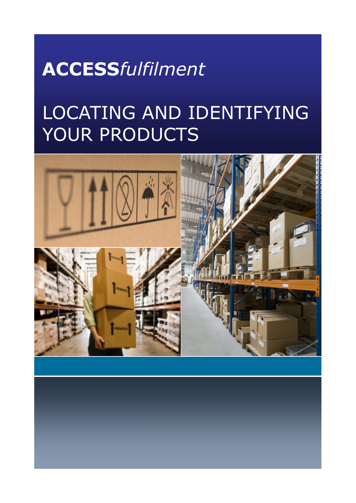## **ACCESS***fulfilment*

# LOCATING AND IDENTIFYING YOUR PRODUCTS